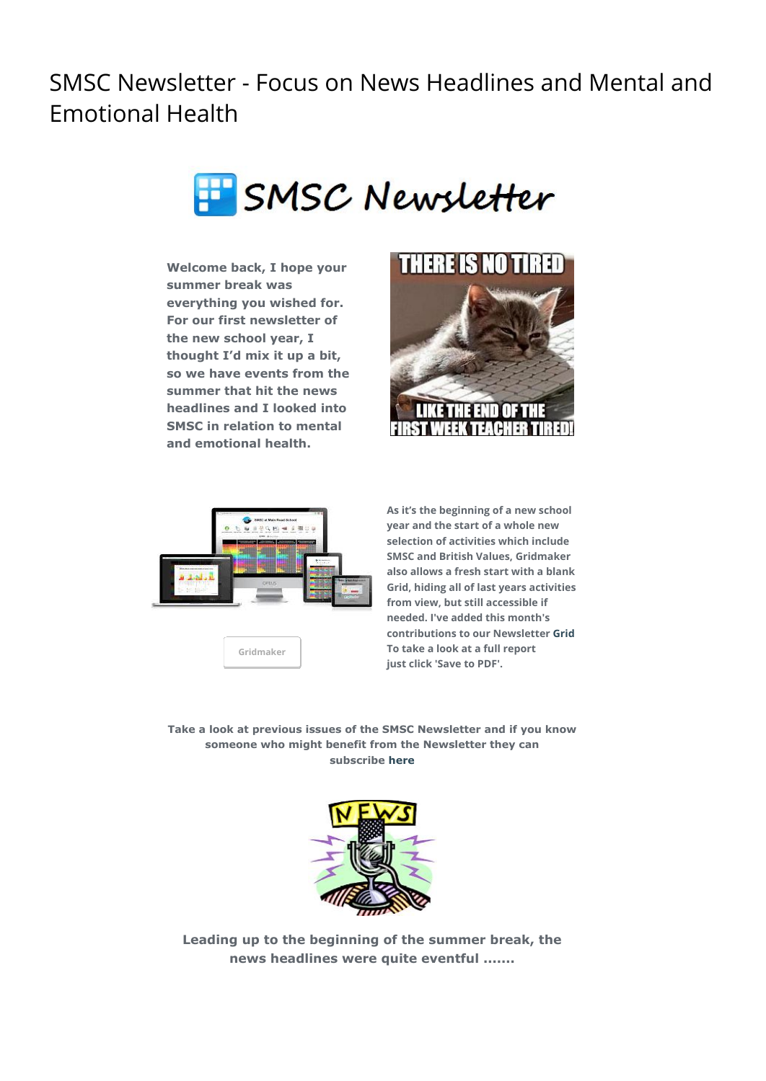SMSC Newsletter - Focus on News Headlines and Mental and Emotional Health



**Welcome back, I hope your summer break was everything you wished for. For our first newsletter of the new school year, I thought I'd mix it up a bit, so we have events from the summer that hit the news headlines and I looked into SMSC in relation to mental and emotional health.**





**[Gridmaker](http://smsc.opeus.org/)**

**As it's the beginning of a new school year and the start of a whole new selection of activities which include SMSC and British Values, Gridmaker also allows a fresh start with a blank Grid, hiding all of last years activities from view, but still accessible if needed. I've added this month's contributions to our Newsletter [Grid](http://www.gridmaker.net/newsletter/view) To take a look at a full report just click 'Save to PDF'.**

**Take a look at previous issues of the SMSC Newsletter and if you know someone who might benefit from the Newsletter they can subscribe [here](http://smsc.opeus.org/smsc-information-and-resources/smsc-newsletter)**



**Leading up to the beginning of the summer break, the news headlines were quite eventful .......**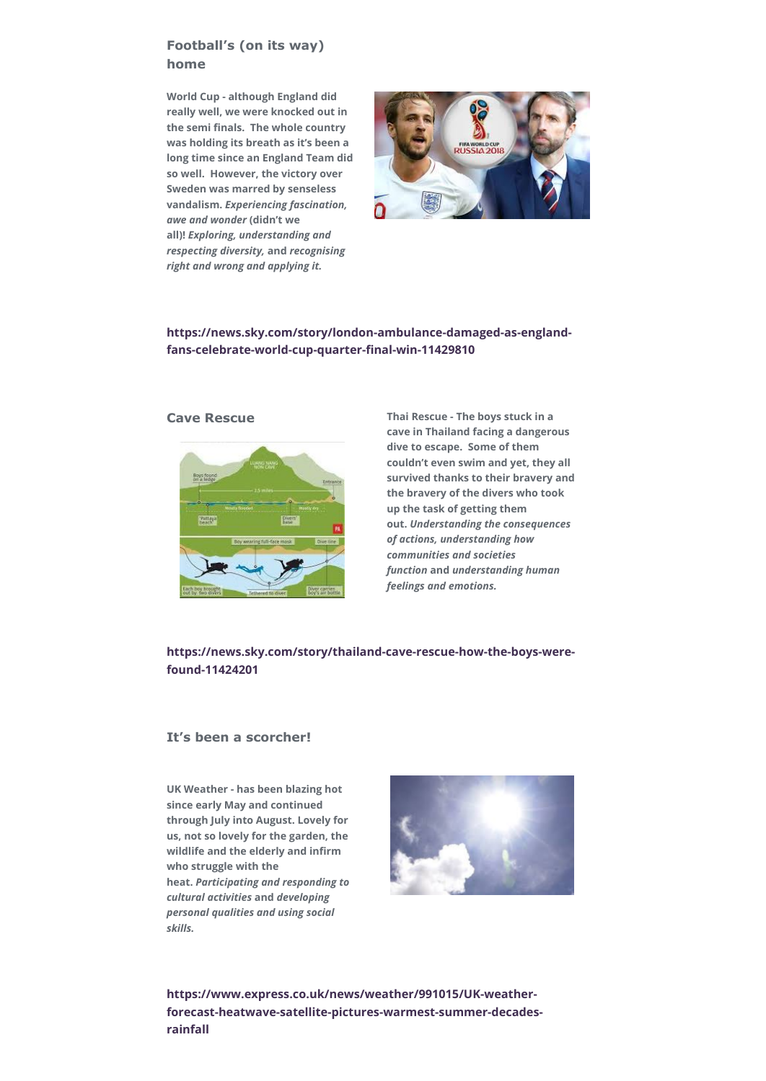# **Football's (on its way) home**

**World Cup - although England did really well, we were knocked out in the semi finals. The whole country was holding its breath as it's been a long time since an England Team did so well. However, the victory over Sweden was marred by senseless vandalism.** *Experiencing fascination, awe and wonder* **(didn't we all)!** *Exploring, understanding and respecting diversity,* **and** *recognising right and wrong and applying it.*



## **[https://news.sky.com/story/london-ambulance-damaged-as-england](https://news.sky.com/story/london-ambulance-damaged-as-england-fans-celebrate-world-cup-quarter-final-win-11429810)fans-celebrate-world-cup-quarter-final-win-11429810**



**Cave Rescue Thai Rescue - The boys stuck in a cave in Thailand facing a dangerous dive to escape. Some of them couldn't even swim and yet, they all survived thanks to their bravery and the bravery of the divers who took up the task of getting them out.** *Understanding the consequences of actions, understanding how communities and societies function* **and** *understanding human feelings and emotions.*

### **[https://news.sky.com/story/thailand-cave-rescue-how-the-boys-were](https://news.sky.com/story/thailand-cave-rescue-how-the-boys-were-found-11424201)found-11424201**

#### **It's been a scorcher!**

**UK Weather - has been blazing hot since early May and continued through July into August. Lovely for us, not so lovely for the garden, the wildlife and the elderly and infirm who struggle with the heat.** *Participating and responding to cultural activities* **and** *developing personal qualities and using social skills.*



**https://www.express.co.uk/news/weather/991015/UK-weather[forecast-heatwave-satellite-pictures-warmest-summer-decades](https://www.express.co.uk/news/weather/991015/UK-weather-forecast-heatwave-satellite-pictures-warmest-summer-decades-rainfall)rainfall**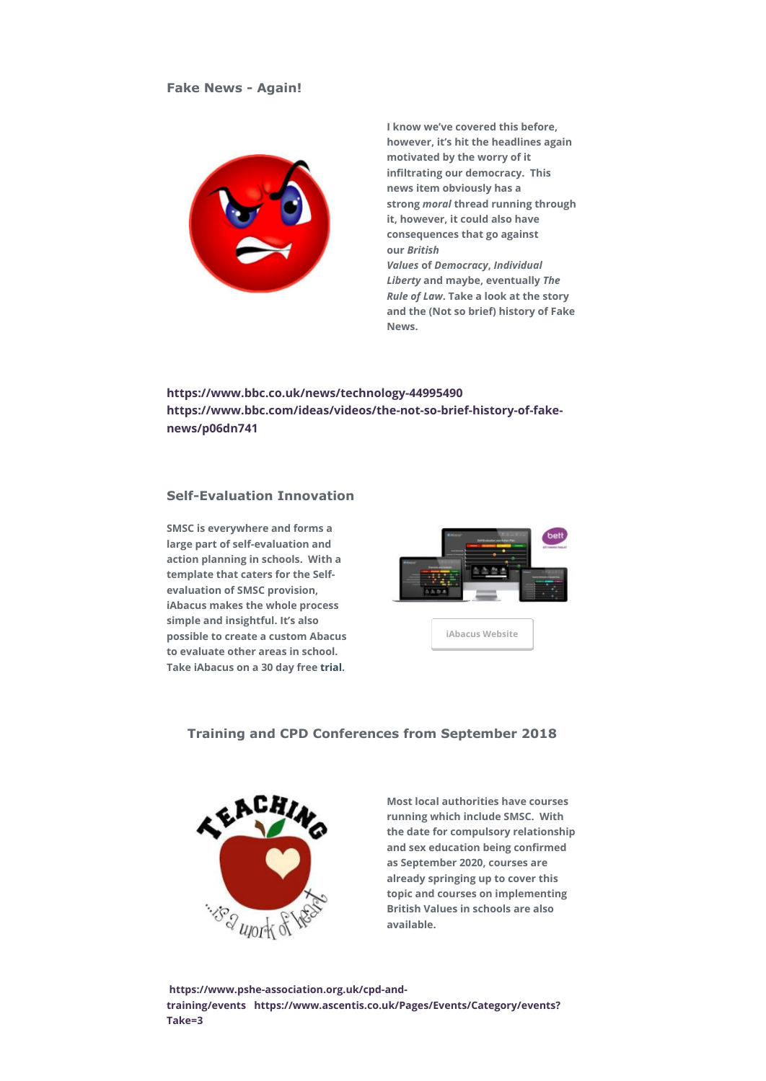

**I know we've covered this before, however, it's hit the headlines again motivated by the worry of it infiltrating our democracy. This news item obviously has a strong** *moral* **thread running through it, however, it could also have consequences that go against our** *British Values* **of** *Democracy***,** *Individual Liberty* **and maybe, eventually** *The Rule of Law***. Take a look at the story and the (Not so brief) history of Fake News.**

**<https://www.bbc.co.uk/news/technology-44995490> [https://www.bbc.com/ideas/videos/the-not-so-brief-history-of-fake](https://www.bbc.com/ideas/videos/the-not-so-brief-history-of-fake-news/p06dn741)news/p06dn741**

## **Self-Evaluation Innovation**

**SMSC is everywhere and forms a large part of self-evaluation and action planning in schools. With a template that caters for the Selfevaluation of SMSC provision, iAbacus makes the whole process simple and insightful. It's also possible to create a custom Abacus to evaluate other areas in school. Take iAbacus on a 30 day free [trial.](https://www.iabacus.co.uk/trial/)**



**Training and CPD Conferences from September 2018**



**Most local authorities have courses running which include SMSC. With the date for compulsory relationship and sex education being confirmed as September 2020, courses are already springing up to cover this topic and courses on implementing British Values in schools are also available.** 

 **[https://www.pshe-association.org.uk/cpd-and](https://www.pshe-association.org.uk/cpd-and-training/events)training/events  [https://www.ascentis.co.uk/Pages/Events/Category/events?](https://www.ascentis.co.uk/Pages/Events/Category/events?Take=3) Take=3**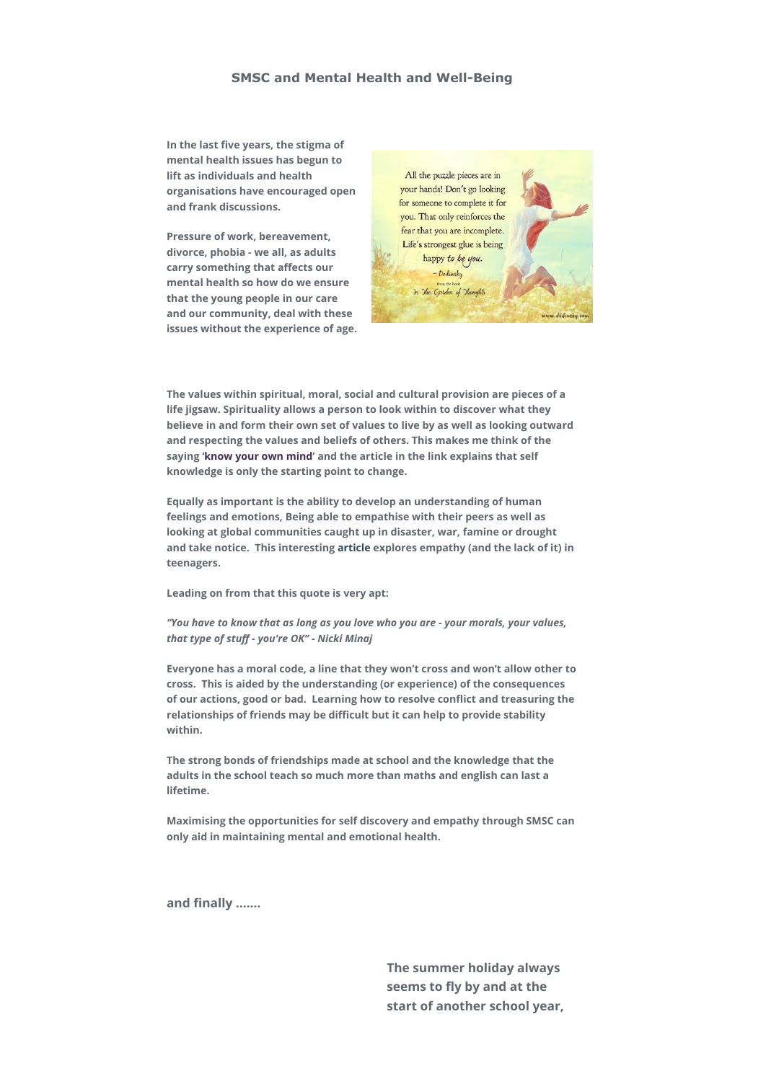## **SMSC and Mental Health and Well-Being**

**In the last five years, the stigma of mental health issues has begun to lift as individuals and health organisations have encouraged open and frank discussions.**

**Pressure of work, bereavement, divorce, phobia - we all, as adults carry something that affects our mental health so how do we ensure that the young people in our care and our community, deal with these issues without the experience of age.**



**The values within spiritual, moral, social and cultural provision are pieces of a life jigsaw. Spirituality allows a person to look within to discover what they believe in and form their own set of values to live by as well as looking outward and respecting the values and beliefs of others. This makes me think of the saying '[know your own mind](http://www.anitacassidy.uk/content/words/do-you-know-your-own-mind)' and the article in the link explains that self knowledge is only the starting point to change.**

**Equally as important is the ability to develop an understanding of human feelings and emotions, Being able to empathise with their peers as well as looking at global communities caught up in disaster, war, famine or drought and take notice. This interesting [article](https://www.psychologytoday.com/us/blog/promoting-empathy-your-teen/201005/are-empathetic-teenagers-more-likely-be-intentionally) explores empathy (and the lack of it) in teenagers.**

**Leading on from that this quote is very apt:**

*"You have to know that as long as you love who you are - your morals, your values, that type of stuff - you're OK"* **-** *Nicki Minaj*

**Everyone has a moral code, a line that they won't cross and won't allow other to cross. This is aided by the understanding (or experience) of the consequences of our actions, good or bad. Learning how to resolve conflict and treasuring the relationships of friends may be difficult but it can help to provide stability within.**

**The strong bonds of friendships made at school and the knowledge that the adults in the school teach so much more than maths and english can last a lifetime.**

**Maximising the opportunities for self discovery and empathy through SMSC can only aid in maintaining mental and emotional health.**

**and finally .......**

**The summer holiday always seems to fly by and at the start of another school year,**